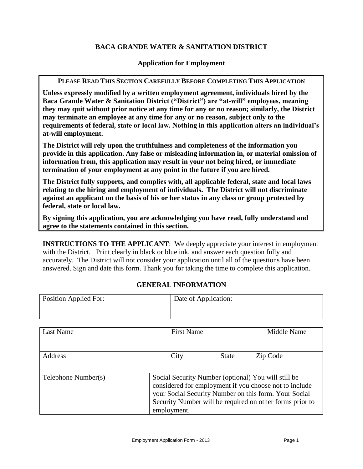# **BACA GRANDE WATER & SANITATION DISTRICT**

### **Application for Employment**

#### **PLEASE READ THIS SECTION CAREFULLY BEFORE COMPLETING THIS APPLICATION**

**Unless expressly modified by a written employment agreement, individuals hired by the Baca Grande Water & Sanitation District ("District") are "at-will" employees, meaning they may quit without prior notice at any time for any or no reason; similarly, the District may terminate an employee at any time for any or no reason, subject only to the requirements of federal, state or local law. Nothing in this application alters an individual's at-will employment.** 

**The District will rely upon the truthfulness and completeness of the information you provide in this application. Any false or misleading information in, or material omission of information from, this application may result in your not being hired, or immediate termination of your employment at any point in the future if you are hired.** 

**The District fully supports, and complies with, all applicable federal, state and local laws relating to the hiring and employment of individuals. The District will not discriminate against an applicant on the basis of his or her status in any class or group protected by federal, state or local law.**

**By signing this application, you are acknowledging you have read, fully understand and agree to the statements contained in this section.**

**INSTRUCTIONS TO THE APPLICANT:** We deeply appreciate your interest in employment with the District. Print clearly in black or blue ink, and answer each question fully and accurately. The District will not consider your application until all of the questions have been answered. Sign and date this form. Thank you for taking the time to complete this application.

# **GENERAL INFORMATION**

| <b>Position Applied For:</b> | Date of Application: |                                                                                                                                                                                                                                    |             |
|------------------------------|----------------------|------------------------------------------------------------------------------------------------------------------------------------------------------------------------------------------------------------------------------------|-------------|
| <b>Last Name</b>             | <b>First Name</b>    |                                                                                                                                                                                                                                    | Middle Name |
| Address                      | City                 | <b>State</b>                                                                                                                                                                                                                       | Zip Code    |
| Telephone Number(s)          | employment.          | Social Security Number (optional) You will still be<br>considered for employment if you choose not to include<br>your Social Security Number on this form. Your Social<br>Security Number will be required on other forms prior to |             |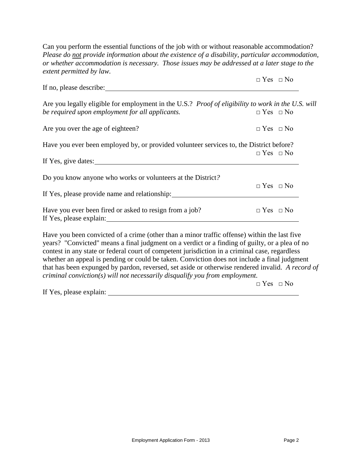Can you perform the essential functions of the job with or without reasonable accommodation? *Please do not provide information about the existence of a disability, particular accommodation, or whether accommodation is necessary. Those issues may be addressed at a later stage to the extent permitted by law.*

|                                                                                                                                                                                                                                                                                                                                                                                                                                                                                                                                                                                     | $\Box$ Yes $\Box$ No |
|-------------------------------------------------------------------------------------------------------------------------------------------------------------------------------------------------------------------------------------------------------------------------------------------------------------------------------------------------------------------------------------------------------------------------------------------------------------------------------------------------------------------------------------------------------------------------------------|----------------------|
| If no, please describe:                                                                                                                                                                                                                                                                                                                                                                                                                                                                                                                                                             |                      |
| Are you legally eligible for employment in the U.S.? Proof of eligibility to work in the U.S. will<br>be required upon employment for all applicants.                                                                                                                                                                                                                                                                                                                                                                                                                               | $\Box$ Yes $\Box$ No |
| Are you over the age of eighteen?                                                                                                                                                                                                                                                                                                                                                                                                                                                                                                                                                   | $\Box$ Yes $\Box$ No |
| Have you ever been employed by, or provided volunteer services to, the District before?                                                                                                                                                                                                                                                                                                                                                                                                                                                                                             |                      |
|                                                                                                                                                                                                                                                                                                                                                                                                                                                                                                                                                                                     | $\Box$ Yes $\Box$ No |
| If Yes, give dates:                                                                                                                                                                                                                                                                                                                                                                                                                                                                                                                                                                 |                      |
| Do you know anyone who works or volunteers at the District?                                                                                                                                                                                                                                                                                                                                                                                                                                                                                                                         |                      |
| If Yes, please provide name and relationship:                                                                                                                                                                                                                                                                                                                                                                                                                                                                                                                                       | $\Box$ Yes $\Box$ No |
| Have you ever been fired or asked to resign from a job?                                                                                                                                                                                                                                                                                                                                                                                                                                                                                                                             | $\Box$ Yes $\Box$ No |
| Have you been convicted of a crime (other than a minor traffic offense) within the last five<br>years? "Convicted" means a final judgment on a verdict or a finding of guilty, or a plea of no<br>contest in any state or federal court of competent jurisdiction in a criminal case, regardless<br>whether an appeal is pending or could be taken. Conviction does not include a final judgment<br>that has been expunged by pardon, reversed, set aside or otherwise rendered invalid. A record of<br>criminal conviction(s) will not necessarily disqualify you from employment. | $\Box$ Yes $\Box$ No |

If Yes, please explain: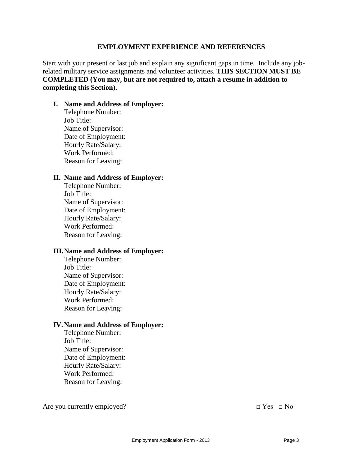#### **EMPLOYMENT EXPERIENCE AND REFERENCES**

Start with your present or last job and explain any significant gaps in time. Include any jobrelated military service assignments and volunteer activities. **THIS SECTION MUST BE COMPLETED (You may, but are not required to, attach a resume in addition to completing this Section).** 

#### **I. Name and Address of Employer:**

Telephone Number: Job Title: Name of Supervisor: Date of Employment: Hourly Rate/Salary: Work Performed: Reason for Leaving:

#### **II. Name and Address of Employer:**

Telephone Number: Job Title: Name of Supervisor: Date of Employment: Hourly Rate/Salary: Work Performed: Reason for Leaving:

#### **III.Name and Address of Employer:**

Telephone Number: Job Title: Name of Supervisor: Date of Employment: Hourly Rate/Salary: Work Performed: Reason for Leaving:

### **IV.Name and Address of Employer:**

Telephone Number: Job Title: Name of Supervisor: Date of Employment: Hourly Rate/Salary: Work Performed: Reason for Leaving:

Are you currently employed?  $\Box$  Yes  $\Box$  No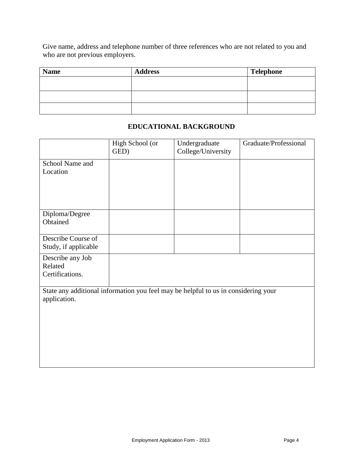Give name, address and telephone number of three references who are not related to you and who are not previous employers.

| <b>Name</b> | <b>Address</b> | <b>Telephone</b> |
|-------------|----------------|------------------|
|             |                |                  |
|             |                |                  |
|             |                |                  |
|             |                |                  |

### **EDUCATIONAL BACKGROUND**

|                                                                                    | High School (or<br>GED) | Undergraduate<br>College/University | Graduate/Professional |
|------------------------------------------------------------------------------------|-------------------------|-------------------------------------|-----------------------|
| School Name and                                                                    |                         |                                     |                       |
| Location                                                                           |                         |                                     |                       |
|                                                                                    |                         |                                     |                       |
|                                                                                    |                         |                                     |                       |
|                                                                                    |                         |                                     |                       |
|                                                                                    |                         |                                     |                       |
| Diploma/Degree                                                                     |                         |                                     |                       |
| Obtained                                                                           |                         |                                     |                       |
|                                                                                    |                         |                                     |                       |
| Describe Course of                                                                 |                         |                                     |                       |
| Study, if applicable                                                               |                         |                                     |                       |
| Describe any Job                                                                   |                         |                                     |                       |
| Related                                                                            |                         |                                     |                       |
| Certifications.                                                                    |                         |                                     |                       |
|                                                                                    |                         |                                     |                       |
| State any additional information you feel may be helpful to us in considering your |                         |                                     |                       |
| application.                                                                       |                         |                                     |                       |
|                                                                                    |                         |                                     |                       |
|                                                                                    |                         |                                     |                       |
|                                                                                    |                         |                                     |                       |
|                                                                                    |                         |                                     |                       |
|                                                                                    |                         |                                     |                       |
|                                                                                    |                         |                                     |                       |
|                                                                                    |                         |                                     |                       |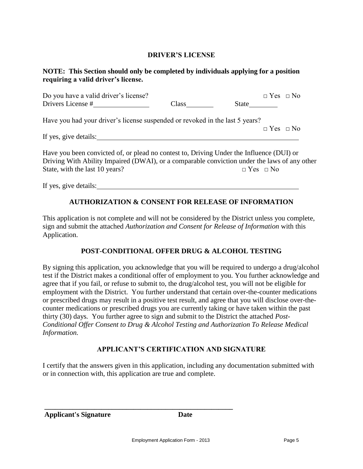### **DRIVER'S LICENSE**

### **NOTE: This Section should only be completed by individuals applying for a position requiring a valid driver's license.**

| Do you have a valid driver's license?<br>Drivers License #                   | <b>Class</b> | $\Box$ Yes $\Box$ No<br>State |  |
|------------------------------------------------------------------------------|--------------|-------------------------------|--|
| Have you had your driver's license suspended or revoked in the last 5 years? |              |                               |  |
| If yes, give details:                                                        |              | $\Box$ Yes $\Box$ No          |  |

Have you been convicted of, or plead no contest to, Driving Under the Influence (DUI) or Driving With Ability Impaired (DWAI), or a comparable conviction under the laws of any other State, with the last 10 years?  $\Box$  Yes  $\Box$  No

If yes, give details:

# **AUTHORIZATION & CONSENT FOR RELEASE OF INFORMATION**

This application is not complete and will not be considered by the District unless you complete, sign and submit the attached *Authorization and Consent for Release of Information* with this Application.

### **POST-CONDITIONAL OFFER DRUG & ALCOHOL TESTING**

By signing this application, you acknowledge that you will be required to undergo a drug/alcohol test if the District makes a conditional offer of employment to you. You further acknowledge and agree that if you fail, or refuse to submit to, the drug/alcohol test, you will not be eligible for employment with the District. You further understand that certain over-the-counter medications or prescribed drugs may result in a positive test result, and agree that you will disclose over-thecounter medications or prescribed drugs you are currently taking or have taken within the past thirty (30) days*.* You further agree to sign and submit to the District the attached *Post-Conditional Offer Consent to Drug & Alcohol Testing and Authorization To Release Medical Information.*

### **APPLICANT'S CERTIFICATION AND SIGNATURE**

I certify that the answers given in this application, including any documentation submitted with or in connection with, this application are true and complete.

**Applicant's Signature Date**

**\_\_\_\_\_\_\_\_\_\_\_\_\_\_\_\_\_\_\_\_\_\_\_\_\_\_\_\_\_\_\_\_\_\_\_\_\_\_\_\_\_\_\_\_\_\_\_\_\_\_\_\_\_**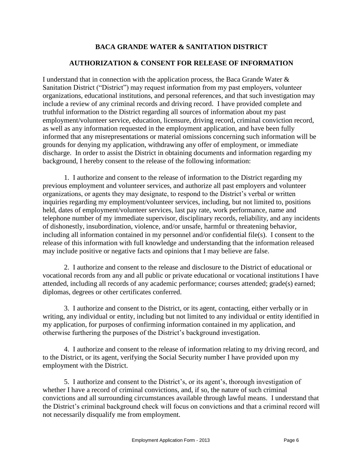# **BACA GRANDE WATER & SANITATION DISTRICT**

# **AUTHORIZATION & CONSENT FOR RELEASE OF INFORMATION**

I understand that in connection with the application process, the Baca Grande Water & Sanitation District ("District") may request information from my past employers, volunteer organizations, educational institutions, and personal references, and that such investigation may include a review of any criminal records and driving record. I have provided complete and truthful information to the District regarding all sources of information about my past employment/volunteer service, education, licensure, driving record, criminal conviction record, as well as any information requested in the employment application, and have been fully informed that any misrepresentations or material omissions concerning such information will be grounds for denying my application, withdrawing any offer of employment, or immediate discharge. In order to assist the District in obtaining documents and information regarding my background, I hereby consent to the release of the following information:

1. I authorize and consent to the release of information to the District regarding my previous employment and volunteer services, and authorize all past employers and volunteer organizations, or agents they may designate, to respond to the District's verbal or written inquiries regarding my employment/volunteer services, including, but not limited to, positions held, dates of employment/volunteer services, last pay rate, work performance, name and telephone number of my immediate supervisor, disciplinary records, reliability, and any incidents of dishonestly, insubordination, violence, and/or unsafe, harmful or threatening behavior, including all information contained in my personnel and/or confidential file(s). I consent to the release of this information with full knowledge and understanding that the information released may include positive or negative facts and opinions that I may believe are false.

2. I authorize and consent to the release and disclosure to the District of educational or vocational records from any and all public or private educational or vocational institutions I have attended, including all records of any academic performance; courses attended; grade(s) earned; diplomas, degrees or other certificates conferred.

3. I authorize and consent to the District, or its agent, contacting, either verbally or in writing, any individual or entity, including but not limited to any individual or entity identified in my application, for purposes of confirming information contained in my application, and otherwise furthering the purposes of the District's background investigation.

4. I authorize and consent to the release of information relating to my driving record, and to the District, or its agent, verifying the Social Security number I have provided upon my employment with the District.

5. I authorize and consent to the District's, or its agent's, thorough investigation of whether I have a record of criminal convictions, and, if so, the nature of such criminal convictions and all surrounding circumstances available through lawful means. I understand that the District's criminal background check will focus on convictions and that a criminal record will not necessarily disqualify me from employment.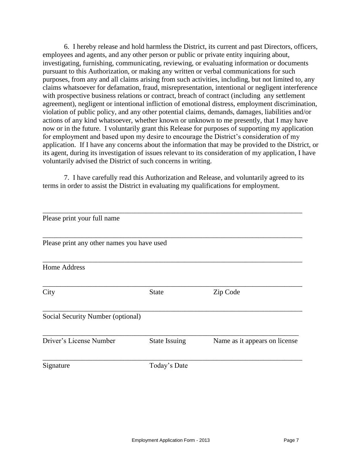6. I hereby release and hold harmless the District, its current and past Directors, officers, employees and agents, and any other person or public or private entity inquiring about, investigating, furnishing, communicating, reviewing, or evaluating information or documents pursuant to this Authorization, or making any written or verbal communications for such purposes, from any and all claims arising from such activities, including, but not limited to, any claims whatsoever for defamation, fraud, misrepresentation, intentional or negligent interference with prospective business relations or contract, breach of contract (including any settlement agreement), negligent or intentional infliction of emotional distress, employment discrimination, violation of public policy, and any other potential claims, demands, damages, liabilities and/or actions of any kind whatsoever, whether known or unknown to me presently, that I may have now or in the future. I voluntarily grant this Release for purposes of supporting my application for employment and based upon my desire to encourage the District's consideration of my application. If I have any concerns about the information that may be provided to the District, or its agent, during its investigation of issues relevant to its consideration of my application, I have voluntarily advised the District of such concerns in writing.

7. I have carefully read this Authorization and Release, and voluntarily agreed to its terms in order to assist the District in evaluating my qualifications for employment.

| Please print your full name                |                      |                               |
|--------------------------------------------|----------------------|-------------------------------|
|                                            |                      |                               |
| Please print any other names you have used |                      |                               |
| <b>Home Address</b>                        |                      |                               |
|                                            |                      |                               |
| City                                       | <b>State</b>         | Zip Code                      |
|                                            |                      |                               |
| Social Security Number (optional)          |                      |                               |
| Driver's License Number                    | <b>State Issuing</b> | Name as it appears on license |
|                                            |                      |                               |
| Signature                                  | Today's Date         |                               |
|                                            |                      |                               |